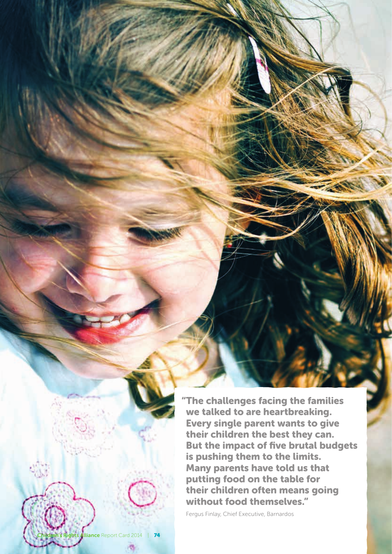"The challenges facing the families we talked to are heartbreaking. Every single parent wants to give their children the best they can. But the impact of five brutal budgets is pushing them to the limits. Many parents have told us that putting food on the table for their children often means going without food themselves."

Fergus Finlay, Chief Executive, Barnardos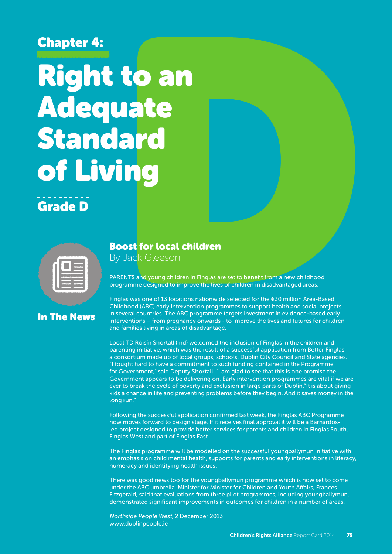### Chapter 4:

# Right to an Adequate Standard of Living



| ---<br>---<br>----<br>---- |
|----------------------------|
|                            |

## In The News

#### Boost for local children

By Jack Gleeson

PARENTS and young children in Finglas are set to benefit from a new childhood programme designed to improve the lives of children in disadvantaged areas.

Finglas was one of 13 locations nationwide selected for the €30 million Area-Based Childhood (ABC) early intervention programmes to support health and social projects in several countries. The ABC programme targets investment in evidence-based early interventions – from pregnancy onwards - to improve the lives and futures for children and families living in areas of disadvantage.

Local TD Róisín Shortall (Ind) welcomed the inclusion of Finglas in the children and parenting initiative, which was the result of a successful application from Better Finglas, a consortium made up of local groups, schools, Dublin City Council and State agencies. "I fought hard to have a commitment to such funding contained in the Programme for Government," said Deputy Shortall. "I am glad to see that this is one promise the Government appears to be delivering on. Early intervention programmes are vital if we are ever to break the cycle of poverty and exclusion in large parts of Dublin. It is about giving kids a chance in life and preventing problems before they begin. And it saves money in the long run."

Following the successful application confirmed last week, the Finglas ABC Programme now moves forward to design stage. If it receives final approval it will be a Barnardosled project designed to provide better services for parents and children in Finglas South, Finglas West and part of Finglas East.

The Finglas programme will be modelled on the successful youngballymun Initiative with an emphasis on child mental health, supports for parents and early interventions in literacy, numeracy and identifying health issues.

There was good news too for the youngballymun programme which is now set to come under the ABC umbrella. Minister for Minister for Children and Youth Affairs, Frances Fitzgerald, said that evaluations from three pilot programmes, including youngballymun, demonstrated significant improvements in outcomes for children in a number of areas.

Northside People West, 2 December 2013 www.dublinpeople.ie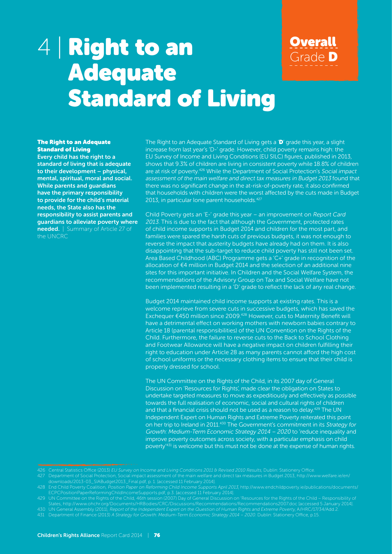## 4 | Right to an Adequate Standard of Living



#### **The Right to an Adequate** Standard of Living

Every child has the right to a standard of living that is adequate to their development – physical, mental, spiritual, moral and social. While parents and guardians have the primary responsibility to provide for the child's material needs, the State also has the responsibility to assist parents and guardians to alleviate poverty where needed. | Summary of Article 27 of the UNCRC

The Right to an Adequate Standard of Living gets a 'D' grade this year, a slight increase from last year's 'D-' grade. However, child poverty remains high: the EU Survey of Income and Living Conditions (EU SILC) figures, published in 2013, shows that 9.3% of children are living in consistent poverty while 18.8% of children are at risk of poverty.<sup>426</sup> While the Department of Social Protection's Social impact assessment of the main welfare and direct tax measures in Budget 2013 found that there was no significant change in the at-risk-of-poverty rate, it also confirmed that households with children were the worst affected by the cuts made in Budget 2013, in particular lone parent households.<sup>427</sup>

Child Poverty gets an 'E-' grade this year – an improvement on Report Card 2013. This is due to the fact that although the Government, protected rates of child income supports in Budget 2014 and children for the most part, and families were spared the harsh cuts of previous budgets, it was not enough to reverse the impact that austerity budgets have already had on them. It is also disappointing that the sub-target to reduce child poverty has still not been set. Area Based Childhood (ABC) Programme gets a 'C+' grade in recognition of the allocation of €4 million in Budget 2014 and the selection of an additional nine sites for this important initiative. In Children and the Social Welfare System, the recommendations of the Advisory Group on Tax and Social Welfare have not been implemented resulting in a 'D' grade to reflect the lack of any real change.

Budget 2014 maintained child income supports at existing rates. This is a welcome reprieve from severe cuts in successive budgets, which has saved the Exchequer €450 million since 2009.428 However, cuts to Maternity Benefit will have a detrimental effect on working mothers with newborn babies contrary to Article 18 (parental responsibilities) of the UN Convention on the Rights of the Child. Furthermore, the failure to reverse cuts to the Back to School Clothing and Footwear Allowance will have a negative impact on children fulfilling their right to education under Article 28 as many parents cannot afford the high cost of school uniforms or the necessary clothing items to ensure that their child is properly dressed for school.

The UN Committee on the Rights of the Child, in its 2007 day of General Discussion on 'Resources for Rights', made clear the obligation on States to undertake targeted measures to move as expeditiously and effectively as possible towards the full realisation of economic, social and cultural rights of children and that a financial crisis should not be used as a reason to delay.<sup>429</sup> The UN Independent Expert on Human Rights and Extreme Poverty reiterated this point on her trip to Ireland in 2011.<sup>430</sup> The Government's commitment in its Strategy for Growth: Medium-Term Economic Strategy 2014 – 2020 to 'reduce inequality and improve poverty outcomes across society, with a particular emphasis on child poverty'431 is welcome but this must not be done at the expense of human rights.

- 430 UN General Assembly (2011), Report of the Independent Expert on the Question of Human Rights and Extreme Poverty, A/HRC/17/34/Add.2.
- 431 Department of Finance (2013) A Strategy for Growth: Medium-Term Economic Strategy 2014 2020. Dublin: Stationery Office, p.15.

<sup>427</sup> Department of Social Protection, Social impact assessment of the main welfare and direct tax measures in Budget 2013, http://www.welfare.ie/en/ downloads/2013-03\_SIABudget2013\_Final.pdf, p. 1. [accessed 11 February 2014].

ECPCPositionPaperReformingChildIncomeSupports.pdf, p.3. [accessed 11 February 2014].

<sup>429</sup> UN Committee on the Rights of the Child, 46th session (2007) Day of General Discussion on 'Resources for the Rights of the Child – Responsibility of States, http://www.ohchr.org/Documents/HRBodies/CRC/Discussions/Recommendations/Recommendations2007.doc [accessed 5 January 2014].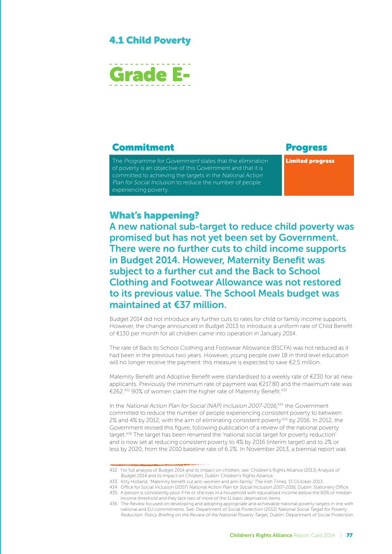#### 4.1 Child Poverty



#### **Commitment** Progress

The Programme for Government states that the elimination of poverty is an objective of this Government and that it is committed to achieving the targets in the National Action Plan for Social Inclusion to reduce the number of people experiencing poverty.

Limited progress

#### What's happening?

A new national sub-target to reduce child poverty was promised but has not yet been set by Government. There were no further cuts to child income supports in Budget 2014. However, Maternity Benefit was subject to a further cut and the Back to School Clothing and Footwear Allowance was not restored to its previous value. The School Meals budget was maintained at €37 million.

Budget 2014 did not introduce any further cuts to rates for child or family income supports. However, the change announced in Budget 2013 to introduce a uniform rate of Child Benefit of €130 per month for all children came into operation in January 2014.

The rate of Back to School Clothing and Footwear Allowance (BSCFA) was not reduced as it had been in the previous two years. However, young people over 18 in third level education will no longer receive the payment: this measure is expected to save €2.5 million.

Maternity Benefit and Adoptive Benefit were standardised to a weekly rate of €230 for all new applicants. Previously the minimum rate of payment was €217.80 and the maximum rate was €262.432 90% of women claim the higher rate of Maternity Benefit.<sup>433</sup>

In the National Action Plan for Social (NAP) Inclusion 2007-2016, 434 the Government committed to reduce the number of people experiencing consistent poverty to between 2% and 4% by 2012, with the aim of eliminating consistent poverty 435 by 2016. In 2012, the Government revised this figure, following publication of a review of the national poverty target.<sup>436</sup> The target has been renamed the 'national social target for poverty reduction' and is now set at reducing consistent poverty to 4% by 2016 (interim target) and to 2% or less by 2020, from the 2010 baseline rate of 6.2%. In November 2013, a biennial report was

<sup>432</sup> For full analysis of Budget 2014 and its impact on children, see: Children's Rights Alliance (2013) Analysis of Budget 2014 and its Impact on Children, Dublin: Children's Rights Alliance.

<sup>433</sup> Kitty Holland, 'Maternity benefit cut anti-women and anti-family' The Irish Times, 15 October 2013.

<sup>434</sup> Office for Social Inclusion (2007) National Action Plan for Social Inclusion 2007-2016, Dublin: Stationery Office.

<sup>435</sup> A person is consistently poor if he or she lives in a household with equivalised income below the 60% of median income threshold and they lack two of more of the 11 basic deprivation items.

<sup>436</sup> The Review focused on developing and adopting appropriate and achievable national poverty targets in line with national and EU commitments. See: Department of Social Protection (2012) National Social Target for Poverty Reduction: Policy Briefing on the Review of the National Poverty Target, Dublin: Department of Social Protection.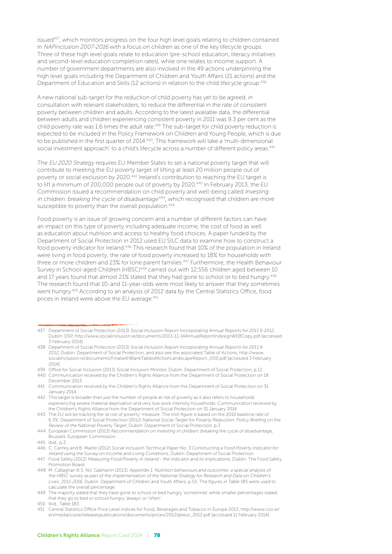issued<sup>437</sup>, which monitors progress on the four high level goals relating to children contained in NAPinclusion 2007-2016 with a focus on children as one of the key lifecycle groups. Three of these high level goals relate to education (pre-school education, literacy initiatives and second-level education completion rates), while one relates to income support. A number of government departments are also involved in the 49 actions underpinning the high level goals including the Department of Children and Youth Affairs (21 actions) and the Department of Education and Skills (12 actions) in relation to the child lifecycle group.<sup>438</sup>

A new national sub-target for the reduction of child poverty has yet to be agreed, in consultation with relevant stakeholders, to reduce the differential in the rate of consistent poverty between children and adults. According to the latest available data, the differential between adults and children experiencing consistent poverty in 2011 was 9.3 per cent as the child poverty rate was 1.6 times the adult rate.<sup>439</sup> The sub-target for child poverty reduction is expected to be included in the Policy Framework on Children and Young People, which is due to be published in the first quarter of 2014.440, This framework will take a 'multi-dimensional social investment approach' to a child's lifecycle across a number of different policy areas.<sup>441</sup>

The EU 2020 Strategy requires EU Member States to set a national poverty target that will contribute to meeting the EU poverty target of lifting at least 20 million people out of poverty or social exclusion by 2020.442 Ireland's contribution to reaching the EU target is to lift a minimum of 200,000 people out of poverty by 2020.443 In February 2013, the EU Commission issued a recommendation on child poverty and well-being called Investing in children: breaking the cycle of disadvantage<sup>444</sup>, which recognised that children are more susceptible to poverty than the overall population.<sup>445</sup>

Food poverty is an issue of growing concern and a number of different factors can have an impact on this type of poverty including adequate income, the cost of food as well as education about nutrition and access to healthy food choices. A paper funded by the Department of Social Protection in 2012 used EU SILC data to examine how to construct a food poverty indicator for Ireland.<sup>446</sup> This research found that 10% of the population in Ireland were living in food poverty; the rate of food poverty increased to 18% for households with three or more children and 23% for lone parent families.447 Furthermore, the Health Behaviour Survey in School-aged Children (HBSC)<sup>448</sup> carried out with 12,556 children aged between 10 and 17 years found that almost 21% stated that they had gone to school or to bed hungry.<sup>449</sup> The research found that 10-and 11-year-olds were most likely to answer that they sometimes went hungry.450 According to an analysis of 2012 data by the Central Statistics Office, food prices in Ireland were above the EU average.<sup>451</sup>

- 438 Department of Social Protection (2013) Social Inclusion Report Incorporating Annual Reports for 2011 & 2012, Dublin: Department of Social Protection, and also see the associated Table of Actions, http://www. socialinclusion.ie/documents/FinalwithBlankTableofActionLandscapeReport\_000.pdf [accessed 3 February 2014].
- 439 Office for Social Inclusion (2013) Social Inclusion Monitor, Dublin: Department of Social Protection, p.12. 440 Communication received by the Children's Rights Alliance from the Department of Social Protection on 18
- December 2013.
- 441 Communication received by the Children's Rights Alliance from the Department of Social Protection on 31 January 2014.
- 442 This target is broader than just the number of people at risk of poverty as it also refers to households experiencing severe material deprivation and very low work intensity households. Communication received by the Children's Rights Alliance from the Department of Social Protection on 31 January 2014.

<sup>437</sup> Department of Social Protection (2013) Social Inclusion Report Incorporating Annual Reports for 2011 & 2012, Dublin: DSP, http://www.socialinclusion.ie/documents/2013-11-14AnnualReportIndesignWEBCopy.pdf [accessed 3 February 2014].

<sup>443</sup> The EU will be tracking the 'at risk of poverty' measure. The Irish figure is based on the 2010 baseline rate of 6.3%. Department of Social Protection (2012) National Social Target for Poverty Reduction: Policy Briefing on the Review of the National Poverty Target, Dublin: Department of Social Protection, p.3.

<sup>444</sup> European Commission (2013) Recommendation on investing in children: breaking the cycle of disadvantage, Brussels: European Commission.

<sup>445</sup> Ibid., p.2.

<sup>446</sup> C. Carney and B. Maitre (2012) Social Inclusion Technical Paper No. 3 Constructing a Food Poverty Indicator for Ireland using the Survey on Income and Living Conditions, Dublin: Department of Social Protection.

<sup>447</sup> Food Safety (2012) Measuring Food Poverty in Ireland - the indicator and its implications, Dublin: The Food Safety Promotion Board.

<sup>448</sup> M. Callaghan & S. Nic Gabhainn (2013). Appendix 1: Nutrition behaviours and outcomes: a special analysis of the HBSC survey as part of the implementation of the National Strategy for Research and Data on Children's Lives, 2011-2016. Dublin: Department of Children and Youth Affairs, p.53. The figures in Table 185 were used to calculate the overall percentage.

<sup>449</sup> The majority stated that they have gone to school or bed hungry 'sometimes' while smaller percentages stated that they go to bed or school hungry 'always' or 'often'.

<sup>450</sup> Ibid., Table 183.

<sup>451</sup> Central Statistics Office Price Level Indices for Food, Beverages and Tobacco in Europe 2012, http://www.cso.ie/ en/media/csoie/releasespublications/documents/prices/2012/plieur\_2012.pdf [accessed 11 February 2014].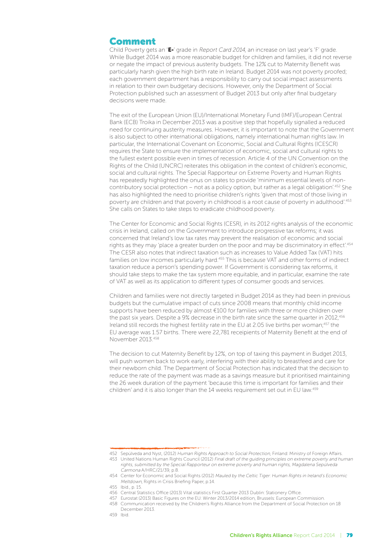#### Comment

Child Poverty gets an 'E-' grade in Report Card 2014, an increase on last year's 'F' grade. While Budget 2014 was a more reasonable budget for children and families, it did not reverse or negate the impact of previous austerity budgets. The 12% cut to Maternity Benefit was particularly harsh given the high birth rate in Ireland. Budget 2014 was not poverty proofed; each government department has a responsibility to carry out social impact assessments in relation to their own budgetary decisions. However, only the Department of Social Protection published such an assessment of Budget 2013 but only after final budgetary decisions were made.

The exit of the European Union (EU)/International Monetary Fund (IMF)/European Central Bank (ECB) Troika in December 2013 was a positive step that hopefully signalled a reduced need for continuing austerity measures. However, it is important to note that the Government is also subject to other international obligations, namely international human rights law. In particular, the International Covenant on Economic, Social and Cultural Rights (ICESCR) requires the State to ensure the implementation of economic, social and cultural rights to the fullest extent possible even in times of recession. Article 4 of the UN Convention on the Rights of the Child (UNCRC) reiterates this obligation in the context of children's economic, social and cultural rights. The Special Rapporteur on Extreme Poverty and Human Rights has repeatedly highlighted the onus on states to provide 'minimum essential levels of noncontributory social protection – not as a policy option, but rather as a legal obligation'.<sup>452</sup> She has also highlighted the need to prioritise children's rights 'given that most of those living in poverty are children and that poverty in childhood is a root cause of poverty in adulthood'.<sup>453</sup> She calls on States to take steps to eradicate childhood poverty.

The Center for Economic and Social Rights (CESR), in its 2012 rights analysis of the economic crisis in Ireland, called on the Government to introduce progressive tax reforms; it was concerned that Ireland's low tax rates may prevent the realisation of economic and social rights as they may 'place a greater burden on the poor and may be discriminatory in effect'.<sup>454</sup> The CESR also notes that indirect taxation such as increases to Value Added Tax (VAT) hits families on low incomes particularly hard.455 This is because VAT and other forms of indirect taxation reduce a person's spending power. If Government is considering tax reforms, it should take steps to make the tax system more equitable, and in particular, examine the rate of VAT as well as its application to different types of consumer goods and services.

Children and families were not directly targeted in Budget 2014 as they had been in previous budgets but the cumulative impact of cuts since 2008 means that monthly child income supports have been reduced by almost €100 for families with three or more children over the past six years. Despite a 9% decrease in the birth rate since the same quarter in 2012,<sup>456</sup> Ireland still records the highest fertility rate in the EU at 2.05 live births per woman;<sup>457</sup> the EU average was 1.57 births. There were 22,781 receipients of Maternity Benefit at the end of November 2013.458

The decision to cut Maternity Benefit by 12%, on top of taxing this payment in Budget 2013, will push women back to work early, interfering with their ability to breastfeed and care for their newborn child. The Department of Social Protection has indicated that the decision to reduce the rate of the payment was made as a savings measure but it prioritised maintaining the 26 week duration of the payment 'because this time is important for families and their children' and it is also longer than the 14 weeks requirement set out in EU law.459

455 Ibid., p. 15.

<sup>452</sup> Sepúlveda and Nyst, (2012) Human Rights Approach to Social Protection, Finland: Ministry of Foreign Affairs. 453 United Nations Human Rights Council (2012) Final draft of the guiding principles on extreme poverty and human

rights, submitted by the Special Rapporteur on extreme poverty and human rights, Magdalena Sepúlveda Carmona A/HRC/21/39, p.8.

<sup>454</sup> Center for Economic and Social Rights (2012) Mauled by the Celtic Tiger: Human Rights in Ireland's Economic Meltdown, Rights in Crisis Briefing Paper, p.14.

<sup>456</sup> Central Statistics Office (2013) Vital statistics First Quarter 2013 Dublin: Stationery Office.

<sup>457</sup> Eurostat (2013) Basic Figures on the EU: Winter 2013/2014 edition, Brussels: European Commission.

<sup>458</sup> Communication received by the Children's Rights Alliance from the Department of Social Protection on 18 December 2013.

<sup>459</sup> Ibid.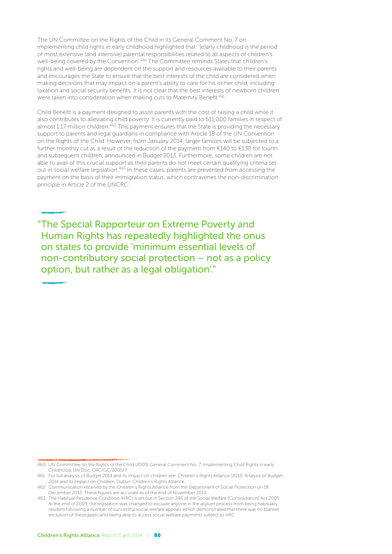The UN Committee on the Rights of the Child in its General Comment No. 7 on implementing child rights in early childhood highlighted that: '[e]arly childhood is the period of most extensive (and intensive) parental responsibilities related to all aspects of children's well-being covered by the Convention'.<sup>460</sup> The Committee reminds States that children's rights and well-being are dependent on the support and resources available to their parents and encourages the State to ensure that the best interests of the child are considered when making decisions that may impact on a parent's ability to care for his or her child, including taxation and social security benefits. It is not clear that the best interests of newborn children were taken into consideration when making cuts to Maternity Benefit.<sup>461</sup>

Child Benefit is a payment designed to assist parents with the cost of raising a child while it also contributes to alleviating child poverty. It is currently paid to 611,000 families in respect of almost 1.17 million children.<sup>462</sup> This payment ensures that the State is providing the necessary support to parents and legal guardians in compliance with Article 18 of the UN Convention on the Rights of the Child. However, from January 2014, larger families will be subjected to a further monthly cut as a result of the reduction of the payment from €140 to €130 for fourth and subsequent children, announced in Budget 2013. Furthermore, some children are not able to avail of this crucial support as their parents do not meet certain qualifying criteria set out in social welfare legislation.<sup>463</sup> In these cases, parents are prevented from accessing the payment on the basis of their immigration status, which contravenes the non-discrimination principle in Article 2 of the UNCRC.

"The Special Rapporteur on Extreme Poverty and Human Rights has repeatedly highlighted the onus on states to provide 'minimum essential levels of non-contributory social protection – not as a policy option, but rather as a legal obligation'."

<sup>460</sup> UN Committee on the Rights of the Child (2005) General Comment No. 7: Implementing Child Rights in early Childhood, UN Doc. CRC/GC/2005/7.

<sup>461</sup> For full analysis of Budget 2014 and its impact on children see: Children's Rights Alliance (2013) Analysis of Budget 2014 and its Impact on Children, Dublin: Children's Rights Alliance.

<sup>462</sup> Communication received by the Children's Rights Alliance from the Department of Social Protection on 18 December 2013. These figures are accurate as of the end of November 2013.

<sup>463</sup> The Habitual Residence Condition (HRC) is set out in Section 246 of the Social Welfare (Consolidation) Act 2005. At the end of 2009, the legislation was changed to exclude anyone in the asylum process from being habitually resident following a number of successful social welfare appeals which demonstrated that there was no blanket exclusion of these applicants being able to access social welfare payments subject to HRC.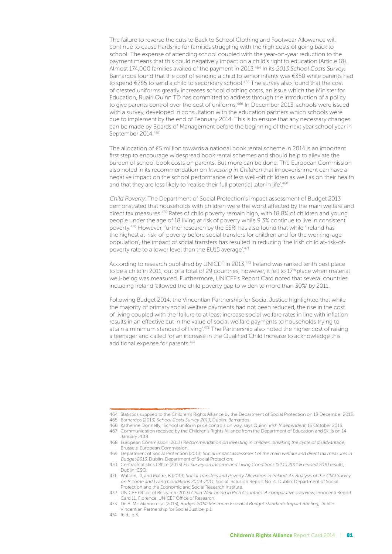The failure to reverse the cuts to Back to School Clothing and Footwear Allowance will continue to cause hardship for families struggling with the high costs of going back to school. The expense of attending school coupled with the year-on-year reduction to the payment means that this could negatively impact on a child's right to education (Article 18). Almost 174,000 families availed of the payment in 2013.<sup>464</sup> In its 2013 School Costs Survey, Barnardos found that the cost of sending a child to senior infants was €350 while parents had to spend €785 to send a child to secondary school.465 The survey also found that the cost of crested uniforms greatly increases school clothing costs, an issue which the Minister for Education, Ruairí Quinn TD has committed to address through the introduction of a policy to give parents control over the cost of uniforms.<sup>466</sup> In December 2013, schools were issued with a survey, developed in consultation with the education partners which schools were due to implement by the end of February 2014. This is to ensure that any necessary changes can be made by Boards of Management before the beginning of the next year school year in September 2014.467

The allocation of €5 million towards a national book rental scheme in 2014 is an important first step to encourage widespread book rental schemes and should help to alleviate the burden of school book costs on parents. But more can be done. The European Commission also noted in its recommendation on Investing in Children that impoverishment can have a negative impact on the school performance of less well-off children as well as on their health and that they are less likely to 'realise their full potential later in life'.<sup>468</sup>

Child Poverty: The Department of Social Protection's impact assessment of Budget 2013 demonstrated that households with children were the worst affected by the main welfare and direct tax measures.<sup>469</sup> Rates of child poverty remain high, with 18.8% of children and young people under the age of 18 living at risk of poverty while 9.3% continue to live in consistent poverty.470 However, further research by the ESRI has also found that while 'Ireland has the highest at-risk-of-poverty before social transfers for children and for the working-age population', the impact of social transfers has resulted in reducing 'the Irish child at-risk-ofpoverty rate to a lower level than the EU15 average'.471

According to research published by UNICEF in 2013,472 Ireland was ranked tenth best place to be a child in 2011, out of a total of 29 countries; however, it fell to 17<sup>th</sup> place when material well-being was measured. Furthermore, UNICEF's Report Card noted that several countries including Ireland 'allowed the child poverty gap to widen to more than 30%' by 2011.

Following Budget 2014, the Vincentian Partnership for Social Justice highlighted that while the majority of primary social welfare payments had not been reduced, the rise in the cost of living coupled with the 'failure to at least increase social welfare rates in line with inflation results in an effective cut in the value of social welfare payments to households trying to attain a minimum standard of living'.473 The Partnership also noted the higher cost of raising a teenager and called for an increase in the Qualified Child Increase to acknowledge this additional expense for parents.474

474 Ibid., p.3.

<sup>464</sup> Statistics supplied to the Children's Rights Alliance by the Department of Social Protection on 18 December 2013.

<sup>465</sup> Barnardos (2013) School Costs Survey 2013, Dublin: Barnardos.

<sup>466</sup> Katherine Donnelly, 'School uniform price controls on way, says Quinn' Irish Independent, 16 October 2013. 467 Communication received by the Children's Rights Alliance from the Department of Education and Skills on 14

January 2014. 468 European Commission (2013) Recommendation on investing in children: breaking the cycle of disadvantage,

Brussels: European Commission. 469 Department of Social Protection (2013) Social impact assessment of the main welfare and direct tax measures in

Budget 2013, Dublin: Department of Social Protection. 470 Central Statistics Office (2013) EU Survey on Income and Living Conditions (SILC) 2011 & revised 2010 results, Dublin: CSO.

<sup>471</sup> Watson, D, and Maître, B (2013) Social Transfers and Poverty Alleviation in Ireland: An Analysis of the CSO Survey on Income and Living Conditions 2004-2011, Social Inclusion Report No. 4. Dublin: Department of Social Protection and the Economic and Social Research Institute.

<sup>472</sup> UNICEF Office of Research (2013) Child Well-being in Rich Countries: A comparative overview, Innocenti Report Card 11, Florence: UNICEF Office of Research.

<sup>473</sup> Dr. B. Mc Mahon et al (2013), Budget 2014: Minimum Essential Budget Standards Impact Briefing, Dublin: Vincentian Partnership for Social Justice, p.1.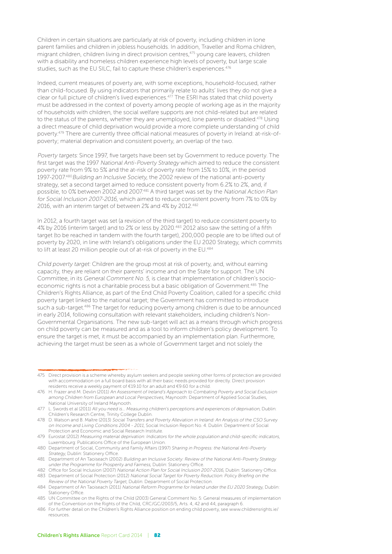Children in certain situations are particularly at risk of poverty, including children in lone parent families and children in jobless households. In addition, Traveller and Roma children,  $\frac{1}{2}$  migrant children, children living in direct provision centres,<sup>475</sup> young care leavers, children with a disability and homeless children experience high levels of poverty, but large scale studies, such as the EU SILC, fail to capture these children's experiences.<sup>476</sup>

Indeed, current measures of poverty are, with some exceptions, household-focused, rather than child-focused. By using indicators that primarily relate to adults' lives they do not give a clear or full picture of children's lived experiences.477 The ESRI has stated that child poverty must be addressed in the context of poverty among people of working age as in the majority of households with children, the social welfare supports are not child-related but are related to the status of the parents, whether they are unemployed, lone parents or disabled.<sup>478</sup> Using a direct measure of child deprivation would provide a more complete understanding of child poverty.479 There are currently three official national measures of poverty in Ireland: at-risk-ofpoverty; material deprivation and consistent poverty, an overlap of the two.

Poverty targets: Since 1997, five targets have been set by Government to reduce poverty. The first target was the 1997 National Anti-Poverty Strategy which aimed to reduce the consistent poverty rate from 9% to 5% and the at-risk of poverty rate from 15% to 10%, in the period 1997-2007.<sup>480</sup> Building an Inclusive Society, the 2002 review of the national anti-poverty strategy, set a second target aimed to reduce consistent poverty from 6.2% to 2%, and, if possible, to 0% between 2002 and 2007.481 A third target was set by the National Action Plan for Social Inclusion 2007-2016, which aimed to reduce consistent poverty from 7% to 0% by 2016, with an interim target of between 2% and 4% by 2012.482

In 2012, a fourth target was set (a revision of the third target) to reduce consistent poverty to 4% by 2016 (interim target) and to 2% or less by 2020.483 2012 also saw the setting of a fifth target (to be reached in tandem with the fourth target), 200,000 people are to be lifted out of poverty by 2020, in line with Ireland's obligations under the EU 2020 Strategy, which commits to lift at least 20 million people out of at-risk of poverty in the EU.<sup>484</sup>

Child poverty target: Children are the group most at risk of poverty, and, without earning capacity, they are reliant on their parents' income and on the State for support. The UN Committee, in its General Comment No. 5, is clear that implementation of children's socioeconomic rights is not a charitable process but a basic obligation of Government.<sup>485</sup> The Children's Rights Alliance, as part of the End Child Poverty Coalition, called for a specific child poverty target linked to the national target; the Government has committed to introduce such a sub-target.<sup>486</sup> The target for reducing poverty among children is due to be announced in early 2014, following consultation with relevant stakeholders, including children's Non-Governmental Organisations. The new sub-target will act as a means through which progress on child poverty can be measured and as a tool to inform children's policy development. To ensure the target is met, it must be accompanied by an implementation plan. Furthermore, achieving the target must be seen as a whole of Government target and not solely the

<sup>475</sup> Direct provision is a scheme whereby asylum seekers and people seeking other forms of protection are provided with accommodation on a full board basis with all their basic needs provided for directly. Direct provision residents receive a weekly payment of €19.10 for an adult and €9.60 for a child.

<sup>476</sup> H. Frazer and M. Devlin (2011) An Assessment of Ireland's Approach to Combating Poverty and Social Exclusion among Children from European and Local Perspectives, Maynooth: Department of Applied Social Studies, National University of Ireland Maynooth.

<sup>477</sup> L. Swords et al (2011) All you need is… Measuring children's perceptions and experiences of deprivation, Dublin: Children's Research Centre, Trinity College Dublin.

<sup>478</sup> D. Watson and B. Maître (2013) Social Transfers and Poverty Alleviation in Ireland: An Analysis of the CSO Survey on Income and Living Conditions 2004 - 2011, Social Inclusion Report No. 4. Dublin: Department of Social Protection and Economic and Social Research Institute.

<sup>479</sup> Eurostat (2012) Measuring material deprivation: Indicators for the whole population and child-specific indicators, Luxembourg: Publications Office of the European Union.

<sup>480</sup> Department of Social, Community and Family Affairs (1997) Sharing in Progress: the National Anti-Poverty Strategy, Dublin: Stationery Office.

<sup>481</sup> Department of An Taoiseach (2002) Building an Inclusive Society: Review of the National Anti-Poverty Strategy under the Programme for Prosperity and Fairness, Dublin: Stationery Office.

<sup>482</sup> Office for Social Inclusion (2007) National Action Plan for Social Inclusion 2007-2016, Dublin: Stationery Office. 483 Department of Social Protection (2012) National Social Target for Poverty Reduction: Policy Briefing on the Review of the National Poverty Target, Dublin: Department of Social Protection.

<sup>484</sup> Department of An Taoiseach (2011) National Reform Programme for Ireland under the EU 2020 Strategy, Dublin: Stationery Office.

<sup>485</sup> UN Committee on the Rights of the Child (2003) General Comment No. 5: General measures of implementation of the Convention on the Rights of the Child, CRC/GC/2003/5, Arts. 4, 42 and 44, paragraph 6.

<sup>486</sup> For further detail on the Children's Rights Alliance position on ending child poverty, see www.childrensrights.ie/ resources.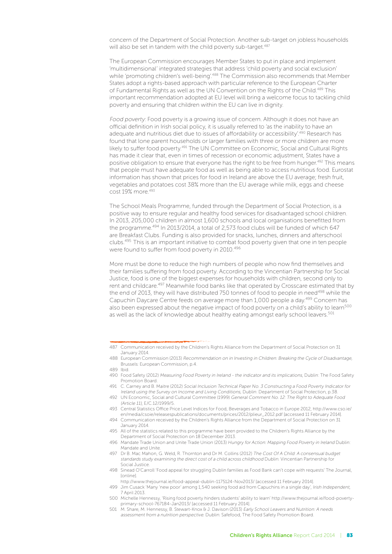concern of the Department of Social Protection. Another sub-target on jobless households will also be set in tandem with the child poverty sub-target.<sup>487</sup>

The European Commission encourages Member States to put in place and implement 'multidimensional' integrated strategies that address 'child poverty and social exclusion' while 'promoting children's well-being'.488 The Commission also recommends that Member States adopt a rights-based approach with particular reference to the European Charter of Fundamental Rights as well as the UN Convention on the Rights of the Child.489 This important recommendation adopted at EU level will bring a welcome focus to tackling child poverty and ensuring that children within the EU can live in dignity.

Food poverty: Food poverty is a growing issue of concern. Although it does not have an official definition in Irish social policy, it is usually referred to 'as the inability to have an adequate and nutritious diet due to issues of affordability or accessibility'.<sup>490</sup> Research has found that lone parent households or larger families with three or more children are more likely to suffer food poverty.491 The UN Committee on Economic, Social and Cultural Rights has made it clear that, even in times of recession or economic adjustment, States have a positive obligation to ensure that everyone has the right to be free from hunger.<sup>492</sup> This means that people must have adequate food as well as being able to access nutritious food. Eurostat information has shown that prices for food in Ireland are above the EU average; fresh fruit, vegetables and potatoes cost 38% more than the EU average while milk, eggs and cheese cost 19% more.493

The School Meals Programme, funded through the Department of Social Protection, is a positive way to ensure regular and healthy food services for disadvantaged school children. In 2013, 205,000 children in almost 1,600 schools and local organisations benefitted from the programme.<sup>494</sup> In 2013/2014, a total of 2,573 food clubs will be funded of which 647 are Breakfast Clubs. Funding is also provided for snacks, lunches, dinners and afterschool clubs.495 This is an important initiative to combat food poverty given that one in ten people were found to suffer from food poverty in 2010.<sup>496</sup>

More must be done to reduce the high numbers of people who now find themselves and their families suffering from food poverty. According to the Vincentian Partnership for Social Justice, food is one of the biggest expenses for households with children, second only to rent and childcare.<sup>497</sup> Meanwhile food banks like that operated by Crosscare estimated that by the end of 2013, they will have distributed 750 tonnes of food to people in need<sup>498</sup> while the Capuchin Daycare Centre feeds on average more than 1,000 people a day.499 Concern has also been expressed about the negative impact of food poverty on a child's ability to learn<sup>500</sup> as well as the lack of knowledge about healthy eating amongst early school leavers.<sup>501</sup>

http://www.thejournal.ie/food-appeal-dublin-1175124-Nov2013/ [accessed 11 February 2014].

- 500 Michelle Hennessy, 'Rising food poverty hinders students' ability to learn' http://www.thejournal.ie/food-povertyprimary-school-767184-Jan2013/ [accessed 11 February 2014].
- 501 M. Share, M. Hennessy, B. Stewart-Knox & J. Davison (2013) Early School Leavers and Nutrition: A needs assessment from a nutrition perspective. Dublin: Safefood, The Food Safety Promotion Board.

<sup>487</sup> Communication received by the Children's Rights Alliance from the Department of Social Protection on 31 January 2014.

<sup>488</sup> European Commission (2013) Recommendation on in Investing in Children: Breaking the Cycle of Disadvantage, Brussels: European Commission, p.4.

<sup>489</sup> Ibid.

<sup>490</sup> Food Safety (2012) Measuring Food Poverty in Ireland - the indicator and its implications, Dublin: The Food Safety Promotion Board.

<sup>491</sup> C. Carney and B. Maitre (2012) Social Inclusion Technical Paper No. 3 Constructing a Food Poverty Indicator for Ireland using the Survey on Income and Living Conditions, Dublin: Department of Social Protection, p.38.

<sup>492</sup> UN Economic, Social and Cultural Committee (1999) General Comment No. 12: The Right to Adequate Food (Article 11), E/C.12/1999/5.

<sup>493</sup> Central Statistics Office Price Level Indices for Food, Beverages and Tobacco in Europe 2012, http://www.cso.ie/ en/media/csoie/releasespublications/documents/prices/2012/plieur\_2012.pdf [accessed 11 February 2014].

<sup>494</sup> Communication received by the Children's Rights Alliance from the Department of Social Protection on 31 January 2014.

<sup>495</sup> All of the statistics related to this programme have been provided to the Children's Rights Alliance by the Department of Social Protection on 18 December 2013.

<sup>496</sup> Mandate Trade Union and Unite Trade Union (2013) Hungry for Action: Mapping Food Poverty in Ireland Dublin: Mandate and Unite.

<sup>497</sup> Dr B. Mac Mahon, G. Weld, R. Thornton and Dr M. Collins (2012) The Cost Of A Child: A consensual budget standards study examining the direct cost of a child across childhood Dublin: Vincentian Partnership for Social Justice.

<sup>498</sup> Sinead O'Carroll 'Food appeal for struggling Dublin families as Food Bank can't cope with requests' The Journal, [online].

<sup>499</sup> Jim Cusack 'Many 'new poor' among 1,540 seeking food aid from Capuchins in a single day', Irish Independent, 7 April 2013.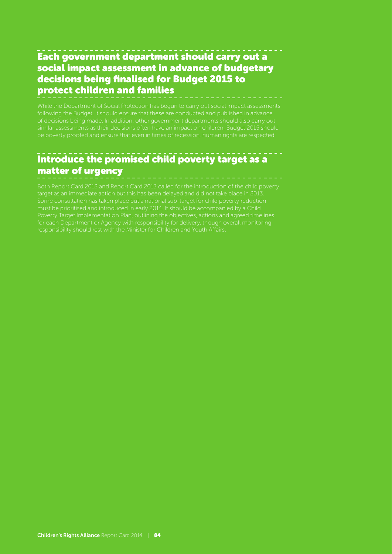#### Each government department should carry out a social impact assessment in advance of budgetary decisions being finalised for Budget 2015 to protect children and families

While the Department of Social Protection has begun to carry out social impact assessments following the Budget, it should ensure that these are conducted and published in advance of decisions being made. In addition, other government departments should also carry out be poverty proofed and ensure that even in times of recession, human rights are respected.

#### Introduce the promised child poverty target as a matter of urgency

Both Report Card 2012 and Report Card 2013 called for the introduction of the child poverty target as an immediate action but this has been delayed and did not take place in 2013.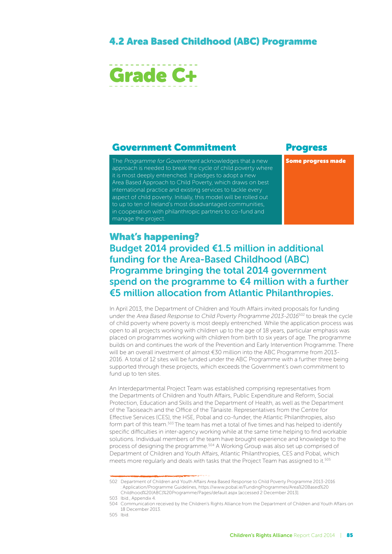#### 4.2 Area Based Childhood (Abc) Programme



#### Government Commitment Progress

The Programme for Government acknowledges that a new approach is needed to break the cycle of child poverty where it is most deeply entrenched. It pledges to adopt a new Area Based Approach to Child Poverty, which draws on best international practice and existing services to tackle every aspect of child poverty. Initially, this model will be rolled out to up to ten of Ireland's most disadvantaged communities, in cooperation with philanthropic partners to co-fund and manage the project.

Some progress made

#### What's happening? Budget 2014 provided €1.5 million in additional funding for the Area-Based Childhood (ABC) Programme bringing the total 2014 government spend on the programme to €4 million with a further €5 million allocation from Atlantic Philanthropies.

In April 2013, the Department of Children and Youth Affairs invited proposals for funding under the Area Based Response to Child Poverty Programme 2013-2016<sup>502</sup> to break the cycle of child poverty where poverty is most deeply entrenched. While the application process was open to all projects working with children up to the age of 18 years, particular emphasis was placed on programmes working with children from birth to six years of age. The programme builds on and continues the work of the Prevention and Early Intervention Programme. There will be an overall investment of almost €30 million into the ABC Programme from 2013- 2016. A total of 12 sites will be funded under the ABC Programme with a further three being supported through these projects, which exceeds the Government's own commitment to fund up to ten sites.

An Interdepartmental Project Team was established comprising representatives from the Departments of Children and Youth Affairs, Public Expenditure and Reform, Social Protection, Education and Skills and the Department of Health, as well as the Department of the Taoiseach and the Office of the Tánaiste. Representatives from the Centre for Effective Services (CES), the HSE, Pobal and co-funder, the Atlantic Philanthropies, also form part of this team.503 The team has met a total of five times and has helped to identify specific difficulties in inter-agency working while at the same time helping to find workable solutions. Individual members of the team have brought experience and knowledge to the process of designing the programme.504 A Working Group was also set up comprised of Department of Children and Youth Affairs, Atlantic Philanthropies, CES and Pobal, which meets more regularly and deals with tasks that the Project Team has assigned to it.<sup>505</sup>

<sup>502</sup> Department of Children and Youth Affairs Area Based Response to Child Poverty Programme 2013-2016 : Application/Programme Guidelines, https://www.pobal.ie/FundingProgrammes/Area%20Based%20 Childhood%20(ABC)%20Programme/Pages/default.aspx [accessed 2 December 2013].

<sup>503</sup> Ibid., Appendix 4.

<sup>504</sup> Communication received by the Children's Rights Alliance from the Department of Children and Youth Affairs on 18 December 2013.

<sup>505</sup> Ibid.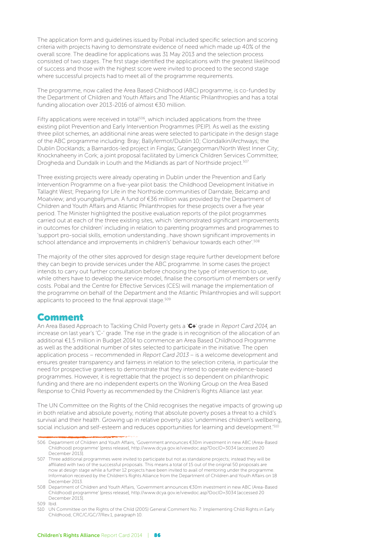The application form and guidelines issued by Pobal included specific selection and scoring criteria with projects having to demonstrate evidence of need which made up 40% of the overall score. The deadline for applications was 31 May 2013 and the selection process consisted of two stages. The first stage identified the applications with the greatest likelihood of success and those with the highest score were invited to proceed to the second stage where successful projects had to meet all of the programme requirements.

The programme, now called the Area Based Childhood (ABC) programme, is co-funded by the Department of Children and Youth Affairs and The Atlantic Philanthropies and has a total funding allocation over 2013-2016 of almost €30 million.

Fifty applications were received in total<sup>506</sup>, which included applications from the three existing pilot Prevention and Early Intervention Programmes (PEIP). As well as the existing three pilot schemes, an additional nine areas were selected to participate in the design stage of the ABC programme including: Bray; Ballyfermot/Dublin 10; Clondalkin/Archways; the Dublin Docklands; a Barnardos-led project in Finglas; Grangegorman/North West Inner City; Knocknaheeny in Cork; a joint proposal facilitated by Limerick Children Services Committee; Drogheda and Dundalk in Louth and the Midlands as part of Northside project.<sup>507</sup>

Three existing projects were already operating in Dublin under the Prevention and Early Intervention Programme on a five-year pilot basis: the Childhood Development Initiative in Tallaght West; Preparing for Life in the Northside communities of Darndale, Belcamp and Moatview; and youngballymun. A fund of €36 million was provided by the Department of Children and Youth Affairs and Atlantic Philanthropies for these projects over a five year period. The Minister highlighted the positive evaluation reports of the pilot programmes carried out at each of the three existing sites, which 'demonstrated significant improvements in outcomes for children' including in relation to parenting programmes and programmes to 'support pro-social skills, emotion understanding…have shown significant improvements in school attendance and improvements in children's' behaviour towards each other'.<sup>508</sup>

The majority of the other sites approved for design stage require further development before they can begin to provide services under the ABC programme. In some cases the project intends to carry out further consultation before choosing the type of intervention to use, while others have to develop the service model, finalise the consortium of members or verify costs. Pobal and the Centre for Effective Services (CES) will manage the implementation of the programme on behalf of the Department and the Atlantic Philanthropies and will support applicants to proceed to the final approval stage.<sup>509</sup>

#### Comment

An Area Based Approach to Tackling Child Poverty gets a 'C+' grade in Report Card 2014, an increase on last year's 'C-' grade. The rise in the grade is in recognition of the allocation of an additional €1.5 million in Budget 2014 to commence an Area Based Childhood Programme as well as the additional number of sites selected to participate in the initiative. The open application process – recommended in Report Card 2013 – is a welcome development and ensures greater transparency and fairness in relation to the selection criteria, in particular the need for prospective grantees to demonstrate that they intend to operate evidence-based programmes. However, it is regrettable that the project is so dependent on philanthropic funding and there are no independent experts on the Working Group on the Area Based Response to Child Poverty as recommended by the Children's Rights Alliance last year.

The UN Committee on the Rights of the Child recognises the negative impacts of growing up in both relative and absolute poverty, noting that absolute poverty poses a threat to a child's survival and their health. Growing up in relative poverty also 'undermines children's wellbeing, social inclusion and self-esteem and reduces opportunities for learning and development.<sup>510</sup>

<sup>506</sup> Department of Children and Youth Affairs, 'Government announces €30m investment in new ABC (Area-Based Childhood) programme' [press release], http://www.dcya.gov.ie/viewdoc.asp?DocID=3034 [accessed 20 December 2013].

<sup>507</sup> Three additional programmes were invited to participate but not as standalone projects; instead they will be affiliated with two of the successful proposals. This means a total of 15 out of the original 50 proposals are now at design stage while a further 12 projects have been invited to avail of mentoring under the programme. Information received by the Children's Rights Alliance from the Department of Children and Youth Affairs on 18 December 2013.

<sup>508</sup> Department of Children and Youth Affairs, 'Government announces €30m investment in new ABC (Area-Based Childhood) programme' [press release], http://www.dcya.gov.ie/viewdoc.asp?DocID=3034 [accessed 20 December 2013].

<sup>509</sup> Ibid.

<sup>510</sup> UN Committee on the Rights of the Child (2005) General Comment No. 7: Implementing Child Rights in Early Childhood, CRC/C/GC/7/Rev.1, paragraph 10.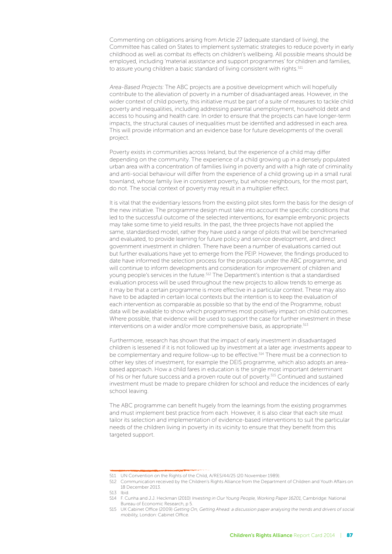Commenting on obligations arising from Article 27 (adequate standard of living), the Committee has called on States to implement systematic strategies to reduce poverty in early childhood as well as combat its effects on children's wellbeing. All possible means should be employed, including 'material assistance and support programmes' for children and families, to assure young children a basic standard of living consistent with rights.<sup>511</sup>

Area-Based Projects: The ABC projects are a positive development which will hopefully contribute to the alleviation of poverty in a number of disadvantaged areas. However, in the wider context of child poverty, this initiative must be part of a suite of measures to tackle child poverty and inequalities, including addressing parental unemployment, household debt and access to housing and health care. In order to ensure that the projects can have longer-term impacts, the structural causes of inequalities must be identified and addressed in each area. This will provide information and an evidence base for future developments of the overall project.

Poverty exists in communities across Ireland, but the experience of a child may differ depending on the community. The experience of a child growing up in a densely populated urban area with a concentration of families living in poverty and with a high rate of criminality and anti-social behaviour will differ from the experience of a child growing up in a small rural townland, whose family live in consistent poverty, but whose neighbours, for the most part, do not. The social context of poverty may result in a multiplier effect.

It is vital that the evidentiary lessons from the existing pilot sites form the basis for the design of the new initiative. The programme design must take into account the specific conditions that led to the successful outcome of the selected interventions, for example embryonic projects may take some time to yield results. In the past, the three projects have not applied the same, standardised model, rather they have used a range of pilots that will be benchmarked and evaluated, to provide learning for future policy and service development, and direct government investment in children. There have been a number of evaluations carried out but further evaluations have yet to emerge from the PEIP. However, the findings produced to date have informed the selection process for the proposals under the ABC programme, and will continue to inform developments and consideration for improvement of children and young people's services in the future.512 The Department's intention is that a standardised evaluation process will be used throughout the new projects to allow trends to emerge as it may be that a certain programme is more effective in a particular context. These may also have to be adapted in certain local contexts but the intention is to keep the evaluation of each intervention as comparable as possible so that by the end of the Programme, robust data will be available to show which programmes most positively impact on child outcomes. Where possible, that evidence will be used to support the case for further investment in these interventions on a wider and/or more comprehensive basis, as appropriate.<sup>513</sup>

Furthermore, research has shown that the impact of early investment in disadvantaged children is lessened if it is not followed up by investment at a later age: investments appear to be complementary and require follow-up to be effective.<sup>514</sup> There must be a connection to other key sites of investment, for example the DEIS programme, which also adopts an areabased approach. How a child fares in education is the single most important determinant of his or her future success and a proven route out of poverty.515 Continued and sustained investment must be made to prepare children for school and reduce the incidences of early school leaving.

The ABC programme can benefit hugely from the learnings from the existing programmes and must implement best practice from each. However, it is also clear that each site must tailor its selection and implementation of evidence-based interventions to suit the particular needs of the children living in poverty in its vicinity to ensure that they benefit from this targeted support.

<sup>511</sup> UN Convention on the Rights of the Child, A/RES/44/25 (20 November 1989).

<sup>512</sup> Communication received by the Children's Rights Alliance from the Department of Children and Youth Affairs on 18 December 2013.

<sup>513</sup> Ibid.

<sup>514</sup> F. Cunha and J.J. Heckman (2010) Investing in Our Young People, Working Paper 16201, Cambridge: National Bureau of Economic Research, p 5.

<sup>515</sup> UK Cabinet Office (2009) Getting On, Getting Ahead: a discussion paper analysing the trends and drivers of social mobility, London: Cabinet Office.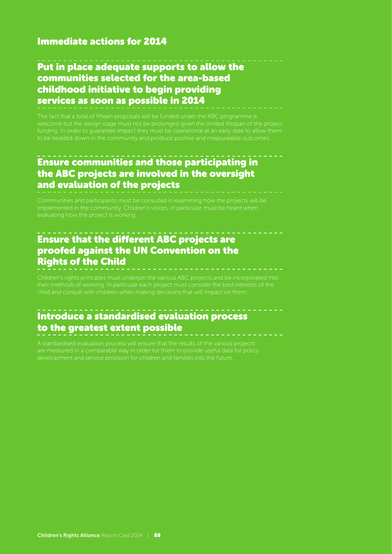#### Immediate actions for 2014

#### Put in place adequate supports to allow the communities selected for the area-based childhood initiative to begin providing services as soon as possible in 2014

The fact that a total of fifteen proposals will be funded under the ABC programme is welcome but the design stage must not be prolonged given the limited lifespan of the project

#### Ensure communities and those participating in the ABC projects are involved in the oversight and evaluation of the projects

Communities and participants must be consulted in examining how the projects will be

#### Ensure that the different ABC projects are proofed against the UN Convention on the Rights of the Child

#### Introduce a standardised evaluation process to the greatest extent possible

are measured in a comparable way in order for them to provide useful data for policy development and service provision for children and families into the future.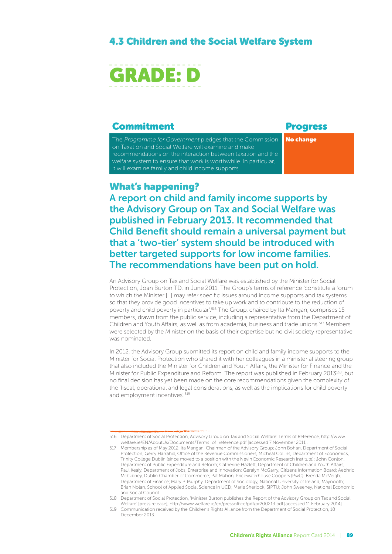#### 4.3 Children and the Social Welfare System



#### **Commitment** Progress

The Programme for Government pledges that the Commission on Taxation and Social Welfare will examine and make recommendations on the interaction between taxation and the welfare system to ensure that work is worthwhile. In particular, it will examine family and child income supports.

No change

#### What's happening?

A report on child and family income supports by the Advisory Group on Tax and Social Welfare was published in February 2013. It recommended that Child Benefit should remain a universal payment but that a 'two-tier' system should be introduced with better targeted supports for low income families. The recommendations have been put on hold.

An Advisory Group on Tax and Social Welfare was established by the Minister for Social Protection, Joan Burton TD, in June 2011. The Group's terms of reference 'constitute a forum to which the Minister […] may refer specific issues around income supports and tax systems so that they provide good incentives to take up work and to contribute to the reduction of poverty and child poverty in particular'.516 The Group, chaired by Ita Mangan, comprises 15 members, drawn from the public service, including a representative from the Department of Children and Youth Affairs, as well as from academia, business and trade unions.517 Members were selected by the Minister on the basis of their expertise but no civil society representative was nominated.

In 2012, the Advisory Group submitted its report on child and family income supports to the Minister for Social Protection who shared it with her colleagues in a ministerial steering group that also included the Minister for Children and Youth Affairs, the Minister for Finance and the Minister for Public Expenditure and Reform. The report was published in February 2013518, but no final decision has yet been made on the core recommendations given the complexity of the 'fiscal, operational and legal considerations, as well as the implications for child poverty and employment incentives'.<sup>519</sup>

<sup>516</sup> Department of Social Protection, Advisory Group on Tax and Social Welfare: Terms of Reference, http://www. welfare.ie/EN/AboutUs/Documents/Terms\_of\_reference.pdf [accessed 7 November 2011].

<sup>517</sup> Membership as of May 2012: Ita Mangan, Chairman of the Advisory Group; John Bohan, Department of Social Protection; Gerry Harrahill, Office of the Revenue Commissioners; Micheál Collins, Department of Economics, Trinity College Dublin (since moved to a position with the Nevin Economic Research Institute); John Conlon, Department of Public Expenditure and Reform; Catherine Hazlett, Department of Children and Youth Affairs; Paul Kealy, Department of Jobs, Enterprise and Innovation; Geralyn McGarry, Citizens Information Board; Aebhric McGibney, Dublin Chamber of Commerce; Pat Mahon, Pricewaterhouse Coopers (PwC); Brenda McVeigh, Department of Finance; Mary P. Murphy, Department of Sociology, National University of Ireland, Maynooth; Brian Nolan, School of Applied Social Science in UCD; Marie Sherlock, SIPTU; John Sweeney, National Economic and Social Council.

<sup>518</sup> Department of Social Protection, 'Minister Burton publishes the Report of the Advisory Group on Tax and Social Welfare' [press release], http://www.welfare.ie/en/pressoffice/pdf/pr200213.pdf [accessed 11 February 2014].

<sup>519</sup> Communication received by the Children's Rights Alliance from the Department of Social Protection, 18 December 2013.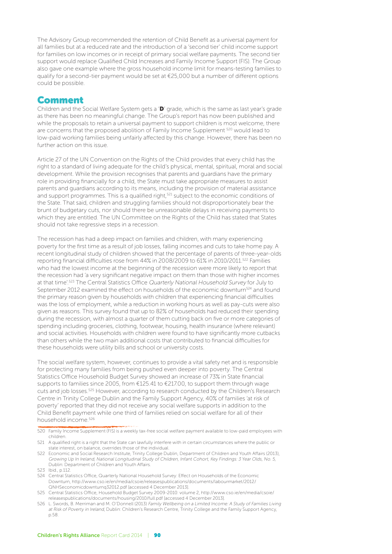The Advisory Group recommended the retention of Child Benefit as a universal payment for all families but at a reduced rate and the introduction of a 'second tier' child income support for families on low incomes or in receipt of primary social welfare payments. The second tier support would replace Qualified Child Increases and Family Income Support (FIS). The Group also gave one example where the gross household income limit for means-testing families to qualify for a second-tier payment would be set at €25,000 but a number of different options could be possible.

#### Comment

Children and the Social Welfare System gets a 'D' grade, which is the same as last year's grade as there has been no meaningful change. The Group's report has now been published and while the proposals to retain a universal payment to support children is most welcome, there are concerns that the proposed abolition of Family Income Supplement <sup>520</sup> would lead to low-paid working families being unfairly affected by this change. However, there has been no further action on this issue.

Article 27 of the UN Convention on the Rights of the Child provides that every child has the right to a standard of living adequate for the child's physical, mental, spiritual, moral and social development. While the provision recognises that parents and guardians have the primary role in providing financially for a child, the State must take appropriate measures to assist parents and guardians according to its means, including the provision of material assistance and support programmes. This is a qualified right,<sup>521</sup> subject to the economic conditions of the State. That said, children and struggling families should not disproportionately bear the brunt of budgetary cuts, nor should there be unreasonable delays in receiving payments to which they are entitled. The UN Committee on the Rights of the Child has stated that States should not take regressive steps in a recession.

The recession has had a deep impact on families and children, with many experiencing poverty for the first time as a result of job losses, falling incomes and cuts to take home pay. A recent longitudinal study of children showed that the percentage of parents of three-year-olds reporting financial difficulties rose from 44% in 2008/2009 to 61% in 2010/2011.522 Families who had the lowest income at the beginning of the recession were more likely to report that the recession had 'a very significant negative impact on them than those with higher incomes at that time'.<sup>523</sup> The Central Statistics Office Quarterly National Household Survey for July to September 2012 examined the effect on households of the economic downturn<sup>524</sup> and found the primary reason given by households with children that experiencing financial difficulties was the loss of employment, while a reduction in working hours as well as pay-cuts were also given as reasons. This survey found that up to 82% of households had reduced their spending during the recession, with almost a quarter of them cutting back on five or more categories of spending including groceries, clothing, footwear, housing, health insurance (where relevant) and social activities. Households with children were found to have significantly more cutbacks than others while the two main additional costs that contributed to financial difficulties for these households were utility bills and school or university costs.

The social welfare system, however, continues to provide a vital safety net and is responsible for protecting many families from being pushed even deeper into poverty. The Central Statistics Office Household Budget Survey showed an increase of 73% in State financial supports to families since 2005, from €125.41 to €217.00, to support them through wage cuts and job losses.525 However, according to research conducted by the Children's Research Centre in Trinity College Dublin and the Family Support Agency, 40% of families 'at risk of poverty' reported that they did not receive any social welfare supports in addition to the Child Benefit payment while one third of families relied on social welfare for all of their household income.526

<sup>520</sup> Family Income Supplement (FIS) is a weekly tax-free social welfare payment available to low-paid employees with children.

<sup>521</sup> A qualified right is a right that the State can lawfully interfere with in certain circumstances where the public or state interest, on balance, overrides those of the individual.

<sup>522</sup> Economic and Social Research Institute, Trinity College Dublin, Department of Children and Youth Affairs (2013), Growing Up In Ireland, National Longitudinal Study of Children, Infant Cohort, Key Findings: 3 Year Olds, No. 5, Dublin: Department of Children and Youth Affairs.

<sup>523</sup> Ibid., p.112.

<sup>524</sup> Central Statistics Office, Quarterly National Household Survey: Effect on Households of the Economic Downturn, http://www.cso.ie/en/media/csoie/releasespublications/documents/labourmarket/2012/ QNHSeconomicdownturnq32012.pdf [accessed 4 December 2013].

<sup>525</sup> Central Statistics Office, Household Budget Survey 2009-2010: volume 2, http://www.cso.ie/en/media/csoie/ releasespublications/documents/housing/2010/full.pdf [accessed 4 December 2013].

<sup>526</sup> L. Swords, B. Merriman and M. O'Donnell (2013) Family Wellbeing on a Limited Income: A Study of Families Living at Risk of Poverty in Ireland, Dublin: Children's Research Centre, Trinity College and the Family Support Agency, p.58.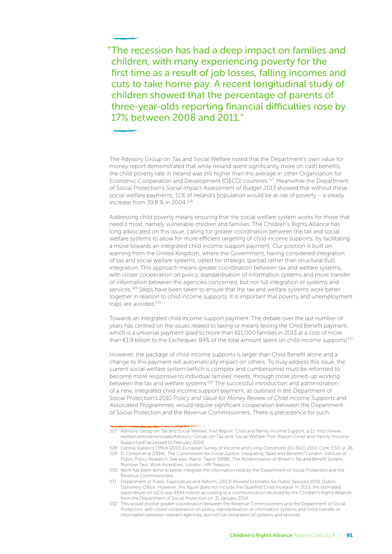"The recession has had a deep impact on families and children, with many experiencing poverty for the first time as a result of job losses, falling incomes and cuts to take home pay. A recent longitudinal study of children showed that the percentage of parents of three-year-olds reporting financial difficulties rose by 17% between 2008 and 2011."

The Advisory Group on Tax and Social Welfare noted that the Department's own value for money report demonstrated that while Ireland spent significantly more on cash benefits, the child poverty rate in Ireland was still higher than the average in other Organisation for Economic Cooperation and Development (OECD) countries.<sup>527</sup> Meanwhile the Department of Social Protection's Social Impact Assessment of Budget 2013 showed that without these social welfare payments, 51% of Ireland's population would be at risk of poverty – a steady increase from 39.8 % in 2004.528

Addressing child poverty means ensuring that the social welfare system works for those that need it most, namely vulnerable children and families. The Children's Rights Alliance has long advocated on this issue, calling for greater coordination between the tax and social welfare systems to allow for more efficient targeting of child income supports, by facilitating a move towards an integrated child income support payment. Our position is built on learning from the United Kingdom, where the Government, having considered integration of tax and social welfare systems, opted for strategic (partial) rather than structural (full) integration. This approach means greater coordination between tax and welfare systems, with closer cooperation on policy, standardisation of information systems and more transfer of information between the agencies concerned, but not full integration of systems and services.<sup>529</sup> Steps have been taken to ensure that the tax and welfare systems work better together in relation to child income supports. It is important that poverty and unemployment traps are avoided.<sup>530</sup>

Towards an integrated child income support payment: The debate over the last number of years has centred on the issues related to taxing or means testing the Child Benefit payment, which is a universal payment (paid to more than 611,000 families in 2013 at a cost of more than €1.9 billion to the Exchequer, 84% of the total amount spent on child income supports)<sup>531</sup>

However, the package of child income supports is larger than Child Benefit alone and a change to this payment will automatically impact on others. To truly address this issue, the current social welfare system (which is complex and cumbersome) must be reformed to become more responsive to individual families' needs, through more joined-up working between the tax and welfare systems<sup>532</sup> The successful introduction and administration of a new, integrated child income support payment, as outlined in the Department of Social Protection's 2010 Policy and Value for Money Review of Child Income Supports and Associated Programmes, would require significant cooperation between the Department of Social Protection and the Revenue Commissioners. There is precedence for such

<sup>527</sup> Advisory Group on Tax and Social Welfare, First Report: Child and Family Income Support, p.11, http://www. welfare.ie/en/downloads/Advisory-Group-on-Tax-and-Social-Welfare-First-Report-Child-and-Family-Income-Support.pdf [accessed 11 February 2014].

<sup>528</sup> Central Statistics Office (2011) European Survey of Income and Living Conditions (EU SILC) 2010, Cork: CSO, p. 26. 529 D. Clinton et al (1994), The Commission for Social Justice: Integrating Taxes and Benefits? London: Institute of

Public Policy Research. See also: Martin Taylor (1998), The Modernisation of Britain's Tax and Benefit System, Number Two: Work Incentives, London: HM Treasury.

<sup>530</sup> Work has been done to better integrate the information held by the Department of Social Protection and the Revenue Commissioners.

<sup>531</sup> Department of Public Expenditure and Reform, (2013) Revised Estimates for Public Services 2014, Dublin: Stationery Office. However, this figure does not include the Qualified Child Increase. In 2013, the estimated expenditure on QCIs was €694 million according to a communication received by the Children's Rights Alliance from the Department of Social Protection on 31 January 2014.

<sup>532</sup> This would involve greater coordination between the Revenue Commissioners and the Department of Social Protection, with closer cooperation on policy, standardisation of information systems and more transfer of information between relevant agencies, but not full integration of systems and services.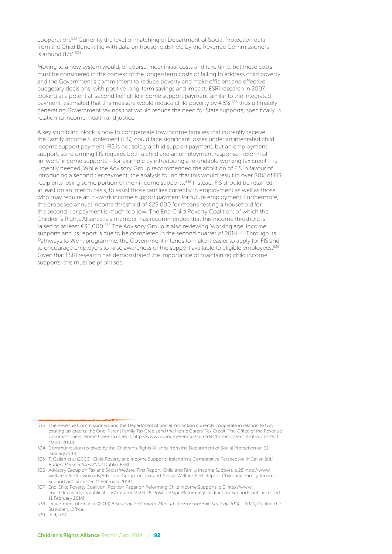cooperation.533 Currently the level of matching of Department of Social Protection data from the Child Benefit file with data on households held by the Revenue Commissioners is around 87%.534

Moving to a new system would, of course, incur initial costs and take time, but these costs must be considered in the context of the longer-term costs of failing to address child poverty and the Government's commitment to reduce poverty and make efficient and effective budgetary decisions, with positive long-term savings and impact. ESRI research in 2007, looking at a potential 'second tier' child income support payment similar to the integrated payment, estimated that this measure would reduce child poverty by 4.5%,<sup>535</sup> thus ultimately generating Government savings that would reduce the need for State supports, specifically in relation to income, health and justice.

A key stumbling block is how to compensate low income families that currently receive the Family Income Supplement (FIS), could face significant losses under an integrated child income support payment. FIS is not solely a child support payment, but an employment support, so reforming FIS requires both a child and an employment response. Reform of 'in-work' income supports – for example by introducing a refundable working tax credit – is urgently needed. While the Advisory Group recommended the abolition of FIS in favour of introducing a second tier payment, the analysis found that this would result in over 80% of FIS recipients losing some portion of their income supports.<sup>536</sup> Instead, FIS should be retained, at least on an interim basis, to assist those families currently in employment as well as those who may require an in-work income support payment for future employment. Furthermore, the proposed annual income threshold of €25,000 for means-testing a household for the second-tier payment is much too low. The End Child Poverty Coalition, of which the Children's Rights Alliance is a member, has recommended that this income threshold is raised to at least €35,000.537 The Advisory Group is also reviewing 'working age' income supports and its report is due to be completed in the second quarter of 2014.<sup>538</sup> Through its Pathways to Work programme, the Government intends to make it easier to apply for FIS and to encourage employers to raise awareness of the support available to eligible employees.<sup>539</sup> Given that ESRI research has demonstrated the importance of maintaining child income supports, this must be prioritised.

<sup>533</sup> The Revenue Commissioners and the Department of Social Protection currently cooperate in relation to two existing tax credits: the One-Parent Family Tax Credit and the Home Carers' Tax Credit. The Office of the Revenue Commissioners, Home Carer Tax Credit, http://www.revenue.ie/en/tax/it/credits/home-carers.html [accessed 1 March 2010].

<sup>534</sup> Communication received by the Children's Rights Alliance from the Department of Social Protection on 31 January 2014.

<sup>535</sup> T. Callan et al (2006), Child Poverty and Income Supports: Ireland in a Comparative Perspective in Callan (ed.), Budget Perspectives 2007, Dublin: ESRI.

<sup>536</sup> Advisory Group on Tax and Social Welfare, First Report: Child and Family Income Support, p.28, http://www. welfare.ie/en/downloads/Advisory-Group-on-Tax-and-Social-Welfare-First-Report-Child-and-Family-Income-Support.pdf [accessed 11 February 2014].

<sup>537</sup> End Child Poverty Coalition, Position Paper on Reforming Child Income Supports, p.3. http://www. endchildpoverty.ie/publications/documents/ECPCPositionPaperReformingChildIncomeSupports.pdf [accessed 11 February 2014].

<sup>538</sup> Department of Finance (2013) A Strategy for Growth: Medium-Term Economic Strategy 2014 – 2020, Dublin: The Stationery Office.

<sup>539</sup> Ibid, p.50.